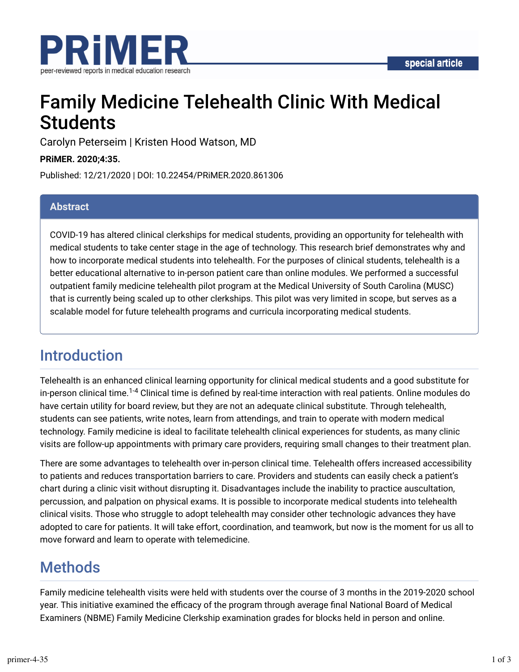

# Family Medicine Telehealth Clinic With Medical **Students**

Carolyn Peterseim | Kristen Hood Watson, MD

**PRiMER. 2020;4:35.**

Published: 12/21/2020 | DOI: 10.22454/PRiMER.2020.861306

#### **Abstract**

COVID-19 has altered clinical clerkships for medical students, providing an opportunity for telehealth with medical students to take center stage in the age of technology. This research brief demonstrates why and how to incorporate medical students into telehealth. For the purposes of clinical students, telehealth is a better educational alternative to in-person patient care than online modules. We performed a successful outpatient family medicine telehealth pilot program at the Medical University of South Carolina (MUSC) that is currently being scaled up to other clerkships. This pilot was very limited in scope, but serves as a scalable model for future telehealth programs and curricula incorporating medical students.

### Introduction

Telehealth is an enhanced clinical learning opportunity for clinical medical students and a good substitute for in-person clinical time.<sup>1-4</sup> Clinical time is defined by real-time interaction with real patients. Online modules do have certain utility for board review, but they are not an adequate clinical substitute. Through telehealth, students can see patients, write notes, learn from attendings, and train to operate with modern medical technology. Family medicine is ideal to facilitate telehealth clinical experiences for students, as many clinic visits are follow-up appointments with primary care providers, requiring small changes to their treatment plan.

There are some advantages to telehealth over in-person clinical time. Telehealth offers increased accessibility to patients and reduces transportation barriers to care. Providers and students can easily check a patient's chart during a clinic visit without disrupting it. Disadvantages include the inability to practice auscultation, percussion, and palpation on physical exams. It is possible to incorporate medical students into telehealth clinical visits. Those who struggle to adopt telehealth may consider other technologic advances they have adopted to care for patients. It will take effort, coordination, and teamwork, but now is the moment for us all to move forward and learn to operate with telemedicine.

## **Methods**

Family medicine telehealth visits were held with students over the course of 3 months in the 2019-2020 school year. This initiative examined the efficacy of the program through average final National Board of Medical Examiners (NBME) Family Medicine Clerkship examination grades for blocks held in person and online.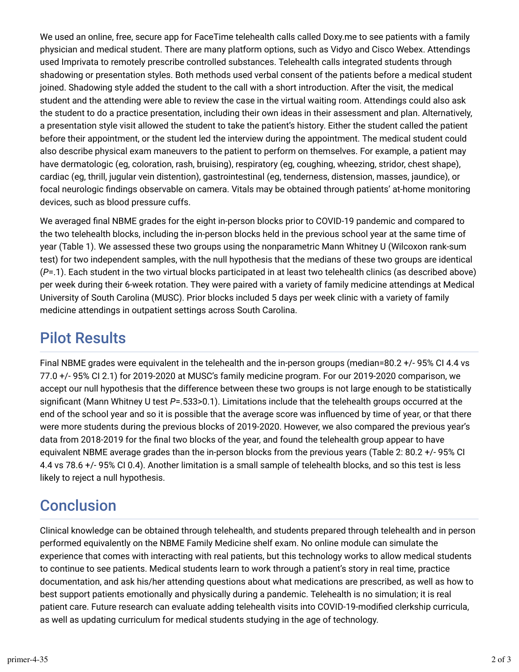We used an online, free, secure app for FaceTime telehealth calls called Doxy.me to see patients with a family physician and medical student. There are many platform options, such as Vidyo and Cisco Webex. Attendings used Imprivata to remotely prescribe controlled substances. Telehealth calls integrated students through shadowing or presentation styles. Both methods used verbal consent of the patients before a medical student joined. Shadowing style added the student to the call with a short introduction. After the visit, the medical student and the attending were able to review the case in the virtual waiting room. Attendings could also ask the student to do a practice presentation, including their own ideas in their assessment and plan. Alternatively, a presentation style visit allowed the student to take the patient's history. Either the student called the patient before their appointment, or the student led the interview during the appointment. The medical student could also describe physical exam maneuvers to the patient to perform on themselves. For example, a patient may have dermatologic (eg, coloration, rash, bruising), respiratory (eg, coughing, wheezing, stridor, chest shape), cardiac (eg, thrill, jugular vein distention), gastrointestinal (eg, tenderness, distension, masses, jaundice), or focal neurologic findings observable on camera. Vitals may be obtained through patients' at-home monitoring devices, such as blood pressure cuffs.

We averaged final NBME grades for the eight in-person blocks prior to COVID-19 pandemic and compared to the two telehealth blocks, including the in-person blocks held in the previous school year at the same time of year (Table 1). We assessed these two groups using the nonparametric Mann Whitney U (Wilcoxon rank-sum test) for two independent samples, with the null hypothesis that the medians of these two groups are identical (*P*=.1). Each student in the two virtual blocks participated in at least two telehealth clinics (as described above) per week during their 6-week rotation. They were paired with a variety of family medicine attendings at Medical University of South Carolina (MUSC). Prior blocks included 5 days per week clinic with a variety of family medicine attendings in outpatient settings across South Carolina.

# Pilot Results

Final NBME grades were equivalent in the telehealth and the in-person groups (median=80.2 +/- 95% CI 4.4 vs 77.0 +/- 95% CI 2.1) for 2019-2020 at MUSC's family medicine program. For our 2019-2020 comparison, we accept our null hypothesis that the difference between these two groups is not large enough to be statistically significant (Mann Whitney U test *P*=.533>0.1). Limitations include that the telehealth groups occurred at the end of the school year and so it is possible that the average score was influenced by time of year, or that there were more students during the previous blocks of 2019-2020. However, we also compared the previous year's data from 2018-2019 for the final two blocks of the year, and found the telehealth group appear to have equivalent NBME average grades than the in-person blocks from the previous years (Table 2: 80.2 +/- 95% CI 4.4 vs 78.6 +/- 95% CI 0.4). Another limitation is a small sample of telehealth blocks, and so this test is less likely to reject a null hypothesis.

# **Conclusion**

Clinical knowledge can be obtained through telehealth, and students prepared through telehealth and in person performed equivalently on the NBME Family Medicine shelf exam. No online module can simulate the experience that comes with interacting with real patients, but this technology works to allow medical students to continue to see patients. Medical students learn to work through a patient's story in real time, practice documentation, and ask his/her attending questions about what medications are prescribed, as well as how to best support patients emotionally and physically during a pandemic. Telehealth is no simulation; it is real patient care. Future research can evaluate adding telehealth visits into COVID-19-modified clerkship curricula, as well as updating curriculum for medical students studying in the age of technology.